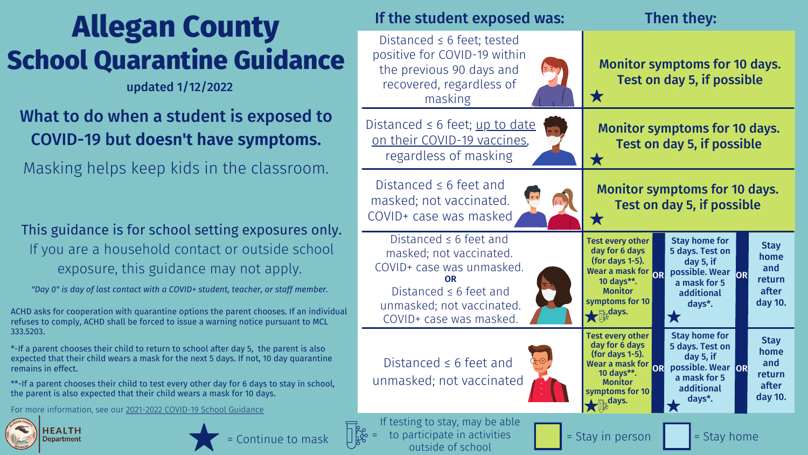# **Allegan County School Quarantine Guidance**

## What to do when a student is exposed to COVID-19 but **doesn't have symptoms.**

Distanced  $\leq 6$  feet; up to on their [COVID-19](https://www.cdc.gov/coronavirus/2019-ncov/vaccines/stay-up-to-date.html) vacci regardless of masking

Masking helps keep kids in the classroom.

Distanced ≤ 6 feet and masked; not vaccinated. COVID+ case was maske

Distanced  $\leq 6$  feet; test positive for COVID-19 wi the previous 90 days a recovered, regardless masking



### If the student expo

| <b>sed was:</b>                     | Then they:                                                                                                                                                                                                                                                                                                                                                                             |
|-------------------------------------|----------------------------------------------------------------------------------------------------------------------------------------------------------------------------------------------------------------------------------------------------------------------------------------------------------------------------------------------------------------------------------------|
| ted<br>ithin<br>ınd<br><b>of</b>    | <b>Monitor symptoms for 10 days.</b><br>Test on day 5, if possible<br>$\bigstar$                                                                                                                                                                                                                                                                                                       |
| <u>date</u><br>ines,<br>ig          | <b>Monitor symptoms for 10 days.</b><br>Test on day 5, if possible<br>$\bigstar$                                                                                                                                                                                                                                                                                                       |
| ed                                  | <b>Monitor symptoms for 10 days.</b><br>Test on day 5, if possible                                                                                                                                                                                                                                                                                                                     |
| d<br>d.<br>ked.<br>d<br>ted.<br>ed. | <b>Stay home for</b><br><b>Test every other</b><br><b>Stay</b><br>day for 6 days<br>5 days. Test on<br>home<br>(for days $1-5$ ).<br>day 5, if<br>and<br>Wear a mask for<br>possible. Wear<br>OR <br>OR<br>return<br>10 days**.<br>a mask for 5<br>after<br><b>Monitor</b><br>additional<br>symptoms for 10<br>day 10.<br>days <sup>*</sup> .<br>$\mathcal{F}_{\mathbb{R}}$ days.<br>★ |
| ıd<br>ated                          | <b>Stay home for</b><br><b>Test every other</b><br><b>Stay</b><br>day for 6 days<br>5 days. Test on<br>home<br>(for days 1-5).<br>day 5, if<br>and<br>Wear a mask for<br>possible. Wear<br><b>OR</b><br>OR<br>10 days**.<br>return<br>a mask for 5<br><b>Monitor</b><br>after<br>additional<br>symptoms for 10<br>day 10.<br>days*.<br>$\frac{1}{\prod_{k=1}^{\infty}}$ days.<br>大     |
| able<br><b>SE</b>                   | = Stay in person<br>= Stay home                                                                                                                                                                                                                                                                                                                                                        |

updated 1/12/2022

Distanced  $\leq 6$  feet and masked; not vaccinate COVID+ case was unmas Distanced  $\leq 6$  feet and unmasked; not vaccinat COVID+ case was masked. **OR**

Distanced  $\leq 6$  feet and unmasked; not vaccina



## This guidance is for school setting exposures only. If you are a household contact or outside school exposure, this guidance may not apply.

*"Day 0" is day of last contact with a COVID+ student, teacher, or staff member.*

ACHD asks for cooperation with quarantine options the parent chooses. If an individual refuses to comply, ACHD shall be forced to issue a warning notice pursuant to MCL 333.5203.

\*-If a parent chooses their child to return to school after day 5, the parent is also expected that their child wears a mask for the next 5 days. If not, 10 day quarantine remains in effect.

\*\*-If a parent chooses their child to test every other day for 6 days to stay in school, the parent is also expected that their child wears a mask for 10 days.

For more information, see our [2021-2022](https://www.allegancounty.org/home/showpublisheddocument/6743/637740537330430000) COVID-19 School Guidance



**HEALTH Department**